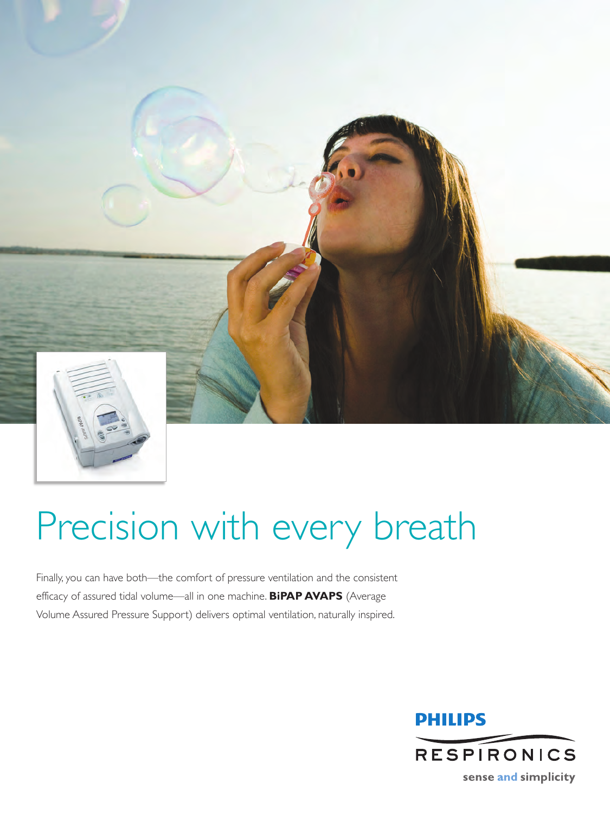

# Precision with every breath

Finally, you can have both—the comfort of pressure ventilation and the consistent efficacy of assured tidal volume—all in one machine. **BiPAP AVAPS** (Average Volume Assured Pressure Support) delivers optimal ventilation, naturally inspired.

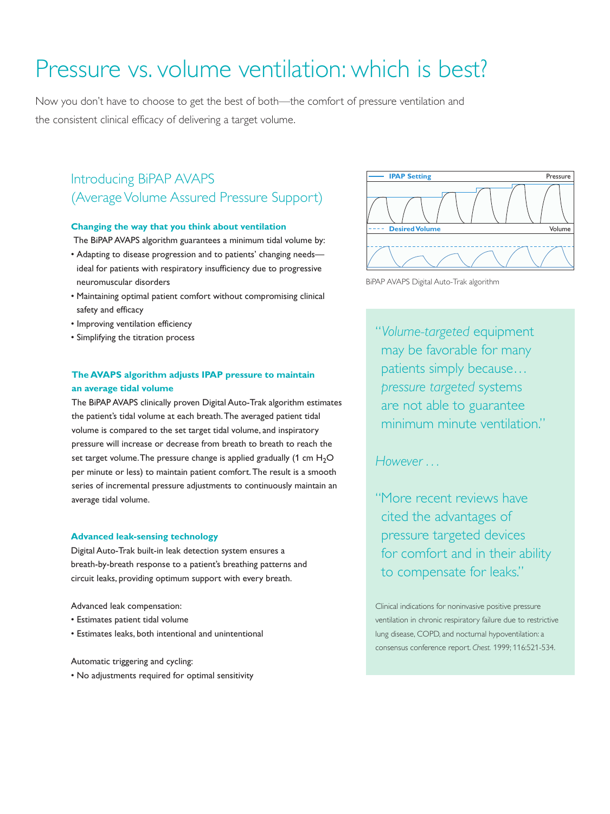## Pressure vs. volume ventilation: which is best?

Now you don't have to choose to get the best of both—the comfort of pressure ventilation and the consistent clinical efficacy of delivering a target volume.

### Introducing BiPAP AVAPS (Average Volume Assured Pressure Support)

#### **Changing the way that you think about ventilation**

The BiPAP AVAPS algorithm guarantees a minimum tidal volume by:

- Adapting to disease progression and to patients' changing needs ideal for patients with respiratory insufficiency due to progressive neuromuscular disorders
- Maintaining optimal patient comfort without compromising clinical safety and efficacy
- Improving ventilation efficiency
- Simplifying the titration process

#### **The AVAPS algorithm adjusts IPAP pressure to maintain an average tidal volume**

The BiPAP AVAPS clinically proven Digital Auto-Trak algorithm estimates the patient's tidal volume at each breath.The averaged patient tidal volume is compared to the set target tidal volume, and inspiratory pressure will increase or decrease from breath to breath to reach the set target volume. The pressure change is applied gradually (1 cm  $H_2O$ per minute or less) to maintain patient comfort.The result is a smooth series of incremental pressure adjustments to continuously maintain an average tidal volume.

#### **Advanced leak-sensing technology**

Digital Auto-Trak built-in leak detection system ensures a breath-by-breath response to a patient's breathing patterns and circuit leaks, providing optimum support with every breath.

Advanced leak compensation:

- Estimates patient tidal volume
- Estimates leaks, both intentional and unintentional

Automatic triggering and cycling:

• No adjustments required for optimal sensitivity



BiPAP AVAPS Digital Auto-Trak algorithm

"*Volume-targeted* equipment may be favorable for many patients simply because… *pressure targeted* systems are not able to guarantee minimum minute ventilation."

*However . . .*

"More recent reviews have cited the advantages of pressure targeted devices for comfort and in their ability to compensate for leaks."

Clinical indications for noninvasive positive pressure ventilation in chronic respiratory failure due to restrictive lung disease, COPD, and nocturnal hypoventilation: a consensus conference report. *Chest.* 1999; 116:521-534.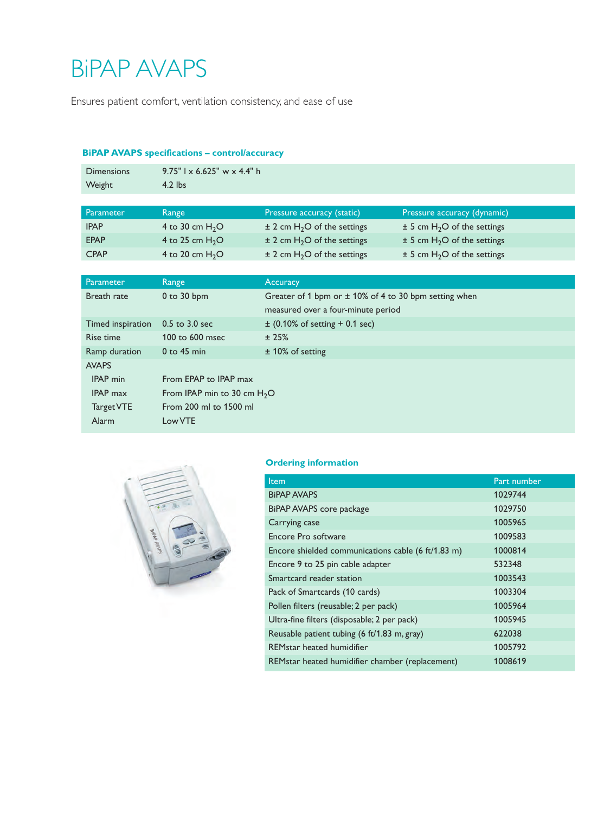## BiPAP AVAPS

Ensures patient comfort, ventilation consistency, and ease of use

#### **BiPAP AVAPS specifications – control/accuracy**

| <b>Dimensions</b><br>Weight | $9.75"$ l x 6.625" w x 4.4" h<br>$4.2$ lbs |                                             |                                             |  |
|-----------------------------|--------------------------------------------|---------------------------------------------|---------------------------------------------|--|
|                             |                                            |                                             |                                             |  |
| Parameter                   | Range                                      | Pressure accuracy (static)                  | Pressure accuracy (dynamic)                 |  |
| <b>IPAP</b>                 | 4 to 30 cm $H_2O$                          | $\pm$ 2 cm H <sub>2</sub> O of the settings | $\pm$ 5 cm H <sub>2</sub> O of the settings |  |

CPAP 4 to 20 cm  $H_2O$   $\pm$  2 cm  $H_2O$  of the settings  $\pm$  5 cm  $H_2O$  of the settings

| Parameter         | Range                         | <b>Accuracy</b>                                           |  |
|-------------------|-------------------------------|-----------------------------------------------------------|--|
| Breath rate       | $0$ to $30$ bpm               | Greater of 1 bpm or $\pm$ 10% of 4 to 30 bpm setting when |  |
|                   |                               | measured over a four-minute period                        |  |
| Timed inspiration | 0.5 to 3.0 sec                | $\pm$ (0.10% of setting + 0.1 sec)                        |  |
| Rise time         | 100 to 600 msec               | ±25%                                                      |  |
| Ramp duration     | $0$ to 45 min                 | $±$ 10% of setting                                        |  |
| <b>AVAPS</b>      |                               |                                                           |  |
| <b>IPAP</b> min   | From EPAP to IPAP max         |                                                           |  |
| <b>IPAP</b> max   | From IPAP min to 30 cm $H_2O$ |                                                           |  |
| Target VTE        | From 200 ml to 1500 ml        |                                                           |  |
| Alarm             | Low VTE                       |                                                           |  |



#### **Ordering information**

| Item                                               | Part number |
|----------------------------------------------------|-------------|
| <b>BIPAP AVAPS</b>                                 | 1029744     |
| BiPAP AVAPS core package                           | 1029750     |
| Carrying case                                      | 1005965     |
| Encore Pro software                                | 1009583     |
| Encore shielded communications cable (6 ft/1.83 m) | 1000814     |
| Encore 9 to 25 pin cable adapter                   | 532348      |
| Smartcard reader station                           | 1003543     |
| Pack of Smartcards (10 cards)                      | 1003304     |
| Pollen filters (reusable; 2 per pack)              | 1005964     |
| Ultra-fine filters (disposable; 2 per pack)        | 1005945     |
| Reusable patient tubing (6 ft/1.83 m, gray)        | 622038      |
| REMstar heated humidifier                          | 1005792     |
| REMstar heated humidifier chamber (replacement)    | 1008619     |